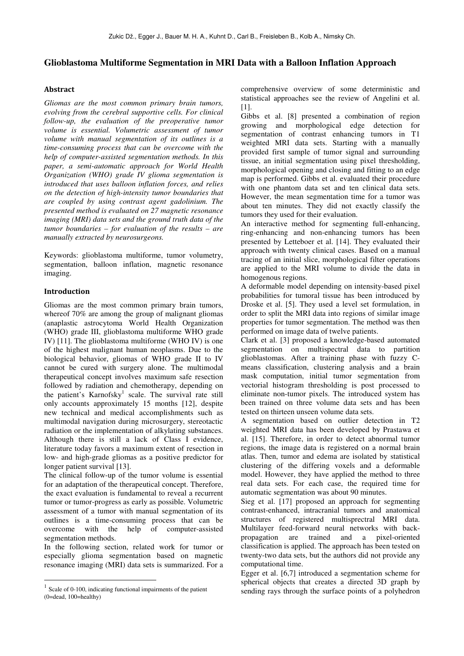# **Glioblastoma Multiforme Segmentation in MRI Data with a Balloon Inflation Approach**

# **Abstract**

*Gliomas are the most common primary brain tumors, evolving from the cerebral supportive cells. For clinical follow-up, the evaluation of the preoperative tumor volume is essential. Volumetric assessment of tumor volume with manual segmentation of its outlines is a time-consuming process that can be overcome with the help of computer-assisted segmentation methods. In this paper, a semi-automatic approach for World Health Organization (WHO) grade IV glioma segmentation is introduced that uses balloon inflation forces, and relies on the detection of high-intensity tumor boundaries that are coupled by using contrast agent gadolinium. The presented method is evaluated on 27 magnetic resonance imaging (MRI) data sets and the ground truth data of the tumor boundaries – for evaluation of the results – are manually extracted by neurosurgeons.* 

Keywords: glioblastoma multiforme, tumor volumetry, segmentation, balloon inflation, magnetic resonance imaging.

# **Introduction**

 $\overline{a}$ 

Gliomas are the most common primary brain tumors, whereof 70% are among the group of malignant gliomas (anaplastic astrocytoma World Health Organization (WHO) grade III, glioblastoma multiforme WHO grade IV) [11]. The glioblastoma multiforme (WHO IV) is one of the highest malignant human neoplasms. Due to the biological behavior, gliomas of WHO grade II to IV cannot be cured with surgery alone. The multimodal therapeutical concept involves maximum safe resection followed by radiation and chemotherapy, depending on the patient's Karnofsky<sup>1</sup> scale. The survival rate still only accounts approximately 15 months [12], despite new technical and medical accomplishments such as multimodal navigation during microsurgery, stereotactic radiation or the implementation of alkylating substances. Although there is still a lack of Class I evidence, literature today favors a maximum extent of resection in low- and high-grade gliomas as a positive predictor for longer patient survival [13].

The clinical follow-up of the tumor volume is essential for an adaptation of the therapeutical concept. Therefore, the exact evaluation is fundamental to reveal a recurrent tumor or tumor-progress as early as possible. Volumetric assessment of a tumor with manual segmentation of its outlines is a time-consuming process that can be overcome with the help of computer-assisted segmentation methods.

In the following section, related work for tumor or especially glioma segmentation based on magnetic resonance imaging (MRI) data sets is summarized. For a

comprehensive overview of some deterministic and statistical approaches see the review of Angelini et al. [1].

Gibbs et al. [8] presented a combination of region growing and morphological edge detection for segmentation of contrast enhancing tumors in T1 weighted MRI data sets. Starting with a manually provided first sample of tumor signal and surrounding tissue, an initial segmentation using pixel thresholding, morphological opening and closing and fitting to an edge map is performed. Gibbs et al. evaluated their procedure with one phantom data set and ten clinical data sets. However, the mean segmentation time for a tumor was about ten minutes. They did not exactly classify the tumors they used for their evaluation.

An interactive method for segmenting full-enhancing, ring-enhancing and non-enhancing tumors has been presented by Letteboer et al. [14]. They evaluated their approach with twenty clinical cases. Based on a manual tracing of an initial slice, morphological filter operations are applied to the MRI volume to divide the data in homogenous regions.

A deformable model depending on intensity-based pixel probabilities for tumoral tissue has been introduced by Droske et al. [5]. They used a level set formulation, in order to split the MRI data into regions of similar image properties for tumor segmentation. The method was then performed on image data of twelve patients.

Clark et al. [3] proposed a knowledge-based automated segmentation on multispectral data to partition glioblastomas. After a training phase with fuzzy Cmeans classification, clustering analysis and a brain mask computation, initial tumor segmentation from vectorial histogram thresholding is post processed to eliminate non-tumor pixels. The introduced system has been trained on three volume data sets and has been tested on thirteen unseen volume data sets.

A segmentation based on outlier detection in T2 weighted MRI data has been developed by Prastawa et al. [15]. Therefore, in order to detect abnormal tumor regions, the image data is registered on a normal brain atlas. Then, tumor and edema are isolated by statistical clustering of the differing voxels and a deformable model. However, they have applied the method to three real data sets. For each case, the required time for automatic segmentation was about 90 minutes.

Sieg et al. [17] proposed an approach for segmenting contrast-enhanced, intracranial tumors and anatomical structures of registered multisprectral MRI data. Multilayer feed-forward neural networks with backpropagation are trained and a pixel-oriented classification is applied. The approach has been tested on twenty-two data sets, but the authors did not provide any computational time.

Egger et al. [6,7] introduced a segmentation scheme for spherical objects that creates a directed 3D graph by sending rays through the surface points of a polyhedron

<sup>&</sup>lt;sup>1</sup> Scale of 0-100, indicating functional impairments of the patient (0=dead, 100=healthy)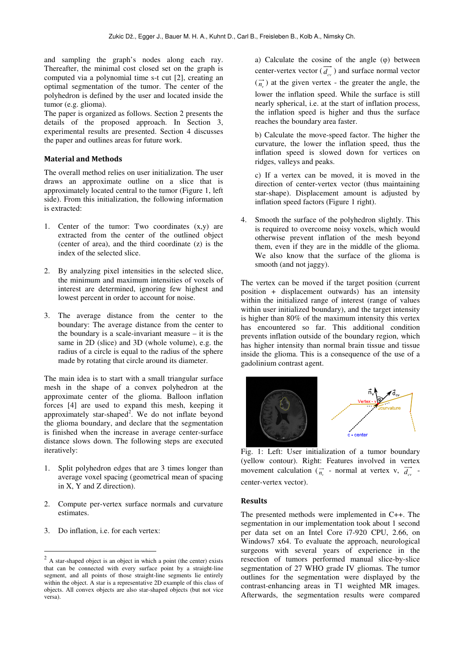and sampling the graph's nodes along each ray. Thereafter, the minimal cost closed set on the graph is computed via a polynomial time s-t cut [2], creating an optimal segmentation of the tumor. The center of the polyhedron is defined by the user and located inside the tumor (e.g. glioma).

The paper is organized as follows. Section 2 presents the details of the proposed approach. In Section 3, experimental results are presented. Section 4 discusses the paper and outlines areas for future work.

#### **Material and Methods**

The overall method relies on user initialization. The user draws an approximate outline on a slice that is approximately located central to the tumor (Figure 1, left side). From this initialization, the following information is extracted:

- 1. Center of the tumor: Two coordinates (x,y) are extracted from the center of the outlined object (center of area), and the third coordinate (z) is the index of the selected slice.
- 2. By analyzing pixel intensities in the selected slice, the minimum and maximum intensities of voxels of interest are determined, ignoring few highest and lowest percent in order to account for noise.
- 3. The average distance from the center to the boundary: The average distance from the center to the boundary is a scale-invariant measure – it is the same in 2D (slice) and 3D (whole volume), e.g. the radius of a circle is equal to the radius of the sphere made by rotating that circle around its diameter.

The main idea is to start with a small triangular surface mesh in the shape of a convex polyhedron at the approximate center of the glioma. Balloon inflation forces [4] are used to expand this mesh, keeping it approximately star-shaped<sup>2</sup>. We do not inflate beyond the glioma boundary, and declare that the segmentation is finished when the increase in average center-surface distance slows down. The following steps are executed iteratively:

- 1. Split polyhedron edges that are 3 times longer than average voxel spacing (geometrical mean of spacing in X, Y and Z direction).
- 2. Compute per-vertex surface normals and curvature estimates.
- 3. Do inflation, i.e. for each vertex:

 $\overline{a}$ 

a) Calculate the cosine of the angle (φ) between center-vertex vector  $(d_{cv})$  and surface normal vector  $(\vec{n}_{v})$  at the given vertex - the greater the angle, the lower the inflation speed. While the surface is still nearly spherical, i.e. at the start of inflation process, the inflation speed is higher and thus the surface reaches the boundary area faster.

b) Calculate the move-speed factor. The higher the curvature, the lower the inflation speed, thus the inflation speed is slowed down for vertices on ridges, valleys and peaks.

c) If a vertex can be moved, it is moved in the direction of center-vertex vector (thus maintaining star-shape). Displacement amount is adjusted by inflation speed factors (Figure 1 right).

4. Smooth the surface of the polyhedron slightly. This is required to overcome noisy voxels, which would otherwise prevent inflation of the mesh beyond them, even if they are in the middle of the glioma. We also know that the surface of the glioma is smooth (and not jaggy).

The vertex can be moved if the target position (current position + displacement outwards) has an intensity within the initialized range of interest (range of values within user initialized boundary), and the target intensity is higher than 80% of the maximum intensity this vertex has encountered so far. This additional condition prevents inflation outside of the boundary region, which has higher intensity than normal brain tissue and tissue inside the glioma. This is a consequence of the use of a gadolinium contrast agent.



Fig. 1: Left: User initialization of a tumor boundary (yellow contour). Right: Features involved in vertex movement calculation  $(\vec{n}_{y}$  - normal at vertex v,  $(\vec{d}_{cv}$  center-vertex vector).

#### **Results**

The presented methods were implemented in C++. The segmentation in our implementation took about 1 second per data set on an Intel Core i7-920 CPU, 2.66, on Windows7 x64. To evaluate the approach, neurological surgeons with several years of experience in the resection of tumors performed manual slice-by-slice segmentation of 27 WHO grade IV gliomas. The tumor outlines for the segmentation were displayed by the contrast-enhancing areas in T1 weighted MR images. Afterwards, the segmentation results were compared

 $2$  A star-shaped object is an object in which a point (the center) exists that can be connected with every surface point by a straight-line segment, and all points of those straight-line segments lie entirely within the object. A star is a representative 2D example of this class of objects. All convex objects are also star-shaped objects (but not vice versa).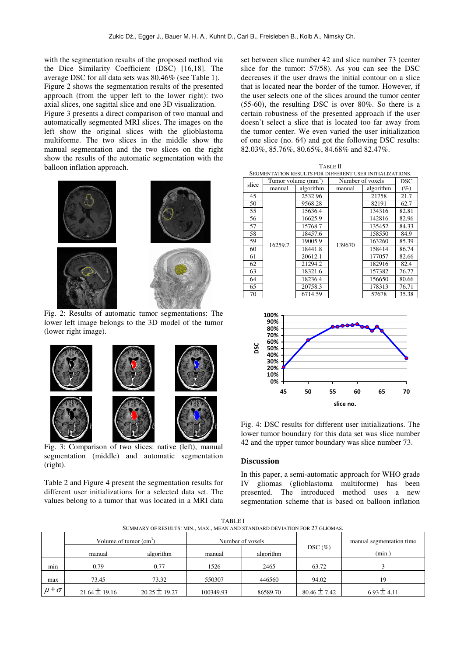with the segmentation results of the proposed method via the Dice Similarity Coefficient (DSC) [16,18]. The average DSC for all data sets was 80.46% (see Table 1). Figure 2 shows the segmentation results of the presented approach (from the upper left to the lower right): two axial slices, one sagittal slice and one 3D visualization. Figure 3 presents a direct comparison of two manual and automatically segmented MRI slices. The images on the left show the original slices with the glioblastoma multiforme. The two slices in the middle show the manual segmentation and the two slices on the right show the results of the automatic segmentation with the balloon inflation approach.



Fig. 2: Results of automatic tumor segmentations: The lower left image belongs to the 3D model of the tumor (lower right image).



Fig. 3: Comparison of two slices: native (left), manual segmentation (middle) and automatic segmentation (right).

Table 2 and Figure 4 present the segmentation results for different user initializations for a selected data set. The values belong to a tumor that was located in a MRI data

set between slice number 42 and slice number 73 (center slice for the tumor: 57/58). As you can see the DSC decreases if the user draws the initial contour on a slice that is located near the border of the tumor. However, if the user selects one of the slices around the tumor center (55-60), the resulting DSC is over 80%. So there is a certain robustness of the presented approach if the user doesn't select a slice that is located too far away from the tumor center. We even varied the user initialization of one slice (no. 64) and got the following DSC results: 82.03%, 85.76%, 80.65%, 84.68% and 82.47%.

| TABLE II                                                 |         |                       |                  |           |        |  |  |  |  |
|----------------------------------------------------------|---------|-----------------------|------------------|-----------|--------|--|--|--|--|
| SEGMENTATION RESULTS FOR DIFFERENT USER INITIALIZATIONS. |         |                       |                  |           |        |  |  |  |  |
| slice                                                    |         | Tumor volume $(mm^3)$ | Number of voxels | DSC       |        |  |  |  |  |
|                                                          | manual  | algorithm             | manual           | algorithm | $(\%)$ |  |  |  |  |
| 45                                                       | 16259.7 | 2532.96               |                  | 21758     | 21.7   |  |  |  |  |
| 50                                                       |         | 9568.28               |                  | 82191     | 62.7   |  |  |  |  |
| 55                                                       |         | 15636.4               |                  | 134316    | 82.81  |  |  |  |  |
| 56                                                       |         | 16625.9               |                  | 142816    | 82.96  |  |  |  |  |
| 57                                                       |         | 15768.7               | 139670           | 135452    | 84.33  |  |  |  |  |
| 58                                                       |         | 18457.6               |                  | 158550    | 84.9   |  |  |  |  |
| 59                                                       |         | 19005.9               |                  | 163260    | 85.39  |  |  |  |  |
| 60                                                       |         | 18441.8               |                  | 158414    | 86.74  |  |  |  |  |
| 61                                                       |         | 20612.1               |                  | 177057    | 82.66  |  |  |  |  |
| 62                                                       |         | 21294.2               |                  | 182916    | 82.4   |  |  |  |  |
| 63                                                       |         | 18321.6               |                  | 157382    | 76.77  |  |  |  |  |
| 64                                                       |         | 18236.4               |                  | 156650    | 80.66  |  |  |  |  |
| 65                                                       |         | 20758.3               |                  | 178313    | 76.71  |  |  |  |  |
| 70                                                       |         | 6714.59               |                  | 57678     | 35.38  |  |  |  |  |



Fig. 4: DSC results for different user initializations. The lower tumor boundary for this data set was slice number 42 and the upper tumor boundary was slice number 73.

#### **Discussion**

In this paper, a semi-automatic approach for WHO grade IV gliomas (glioblastoma multiforme) has been presented. The introduced method uses a new segmentation scheme that is based on balloon inflation

| <b>TABLEI</b>                                                               |
|-----------------------------------------------------------------------------|
| SUMMARY OF RESULTS: MIN., MAX., MEAN AND STANDARD DEVIATION FOR 27 GLIOMAS. |

| OUNINIART OF REQUETS, MIRY, MIAA., MIEAR ARD STARDARD DEVIATION FOR 27 OEIOMIAS. |                          |                   |                  |           |                  |                          |  |  |  |
|----------------------------------------------------------------------------------|--------------------------|-------------------|------------------|-----------|------------------|--------------------------|--|--|--|
|                                                                                  | Volume of tumor $(cm^3)$ |                   | Number of voxels |           |                  | manual segmentation time |  |  |  |
|                                                                                  | manual                   | algorithm         | manual           | algorithm | $DSC(\%)$        | (min.)                   |  |  |  |
| min                                                                              | 0.79                     | 0.77              | 1526             | 2465      | 63.72            |                          |  |  |  |
| max                                                                              | 73.45                    | 73.32             | 550307           | 446560    | 94.02            | 19                       |  |  |  |
| $\mu \pm \sigma$                                                                 | $21.64 \pm 19.16$        | $20.25 \pm 19.27$ | 100349.93        | 86589.70  | $80.46 \pm 7.42$ | $6.93 \pm 4.11$          |  |  |  |